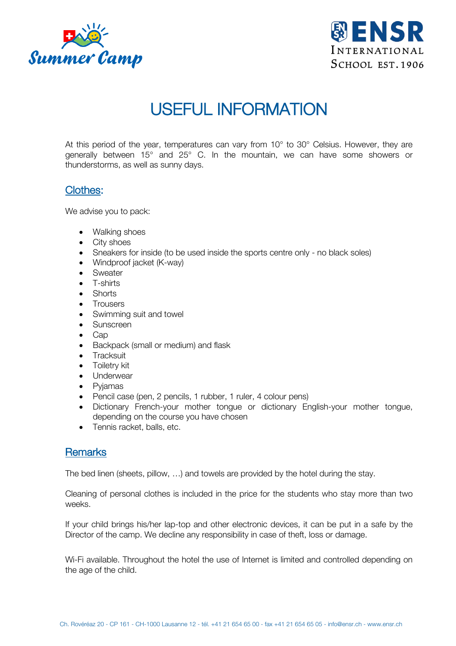



# USEFUL INFORMATION

At this period of the year, temperatures can vary from 10° to 30° Celsius. However, they are generally between 15° and 25° C. In the mountain, we can have some showers or thunderstorms, as well as sunny days.

## Clothes:

We advise you to pack:

- Walking shoes
- City shoes
- Sneakers for inside (to be used inside the sports centre only no black soles)
- Windproof jacket (K-way)
- Sweater
- T-shirts
- Shorts
- Trousers
- Swimming suit and towel
- Sunscreen
- Cap
- Backpack (small or medium) and flask
- Tracksuit
- Toiletry kit
- Underwear
- Pyjamas
- Pencil case (pen, 2 pencils, 1 rubber, 1 ruler, 4 colour pens)
- Dictionary French-your mother tongue or dictionary English-your mother tongue, depending on the course you have chosen
- Tennis racket, balls, etc.

## **Remarks**

The bed linen (sheets, pillow, …) and towels are provided by the hotel during the stay.

Cleaning of personal clothes is included in the price for the students who stay more than two weeks.

If your child brings his/her lap-top and other electronic devices, it can be put in a safe by the Director of the camp. We decline any responsibility in case of theft, loss or damage.

Wi-Fi available. Throughout the hotel the use of Internet is limited and controlled depending on the age of the child.